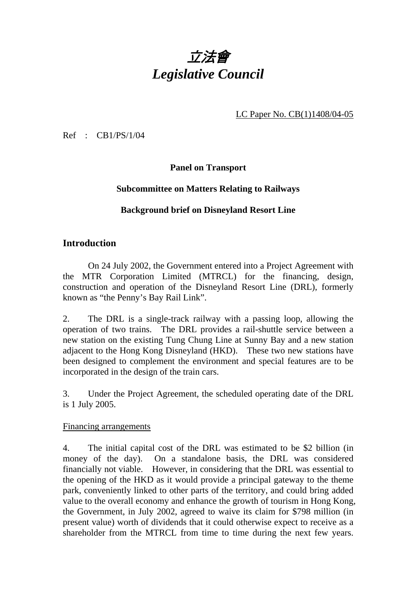# 立法會 *Legislative Council*

LC Paper No. CB(1)1408/04-05

Ref : CB1/PS/1/04

**Panel on Transport** 

### **Subcommittee on Matters Relating to Railways**

## **Background brief on Disneyland Resort Line**

## **Introduction**

1. On 24 July 2002, the Government entered into a Project Agreement with the MTR Corporation Limited (MTRCL) for the financing, design, construction and operation of the Disneyland Resort Line (DRL), formerly known as "the Penny's Bay Rail Link".

2. The DRL is a single-track railway with a passing loop, allowing the operation of two trains. The DRL provides a rail-shuttle service between a new station on the existing Tung Chung Line at Sunny Bay and a new station adjacent to the Hong Kong Disneyland (HKD). These two new stations have been designed to complement the environment and special features are to be incorporated in the design of the train cars.

3. Under the Project Agreement, the scheduled operating date of the DRL is 1 July 2005.

#### Financing arrangements

4. The initial capital cost of the DRL was estimated to be \$2 billion (in money of the day). On a standalone basis, the DRL was considered financially not viable. However, in considering that the DRL was essential to the opening of the HKD as it would provide a principal gateway to the theme park, conveniently linked to other parts of the territory, and could bring added value to the overall economy and enhance the growth of tourism in Hong Kong, the Government, in July 2002, agreed to waive its claim for \$798 million (in present value) worth of dividends that it could otherwise expect to receive as a shareholder from the MTRCL from time to time during the next few years.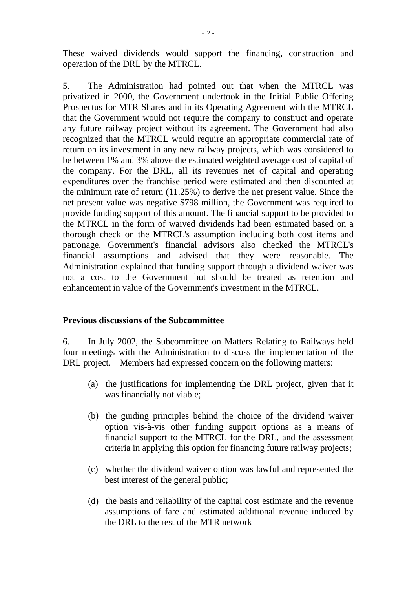These waived dividends would support the financing, construction and operation of the DRL by the MTRCL.

5. The Administration had pointed out that when the MTRCL was privatized in 2000, the Government undertook in the Initial Public Offering Prospectus for MTR Shares and in its Operating Agreement with the MTRCL that the Government would not require the company to construct and operate any future railway project without its agreement. The Government had also recognized that the MTRCL would require an appropriate commercial rate of return on its investment in any new railway projects, which was considered to be between 1% and 3% above the estimated weighted average cost of capital of the company. For the DRL, all its revenues net of capital and operating expenditures over the franchise period were estimated and then discounted at the minimum rate of return (11.25%) to derive the net present value. Since the net present value was negative \$798 million, the Government was required to provide funding support of this amount. The financial support to be provided to the MTRCL in the form of waived dividends had been estimated based on a thorough check on the MTRCL's assumption including both cost items and patronage. Government's financial advisors also checked the MTRCL's financial assumptions and advised that they were reasonable. The Administration explained that funding support through a dividend waiver was not a cost to the Government but should be treated as retention and enhancement in value of the Government's investment in the MTRCL.

#### **Previous discussions of the Subcommittee**

6. In July 2002, the Subcommittee on Matters Relating to Railways held four meetings with the Administration to discuss the implementation of the DRL project. Members had expressed concern on the following matters:

- (a) the justifications for implementing the DRL project, given that it was financially not viable;
- (b) the guiding principles behind the choice of the dividend waiver option vis-à-vis other funding support options as a means of financial support to the MTRCL for the DRL, and the assessment criteria in applying this option for financing future railway projects;
- (c) whether the dividend waiver option was lawful and represented the best interest of the general public;
- (d) the basis and reliability of the capital cost estimate and the revenue assumptions of fare and estimated additional revenue induced by the DRL to the rest of the MTR network